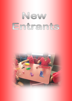# New Emtrants

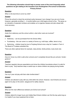## **The following information should help to answer some of the most frequently asked questions we get relating to the transition from Kindergarten /Pre-school to Edmonton Primary School:**

## **Question:**

*When is the best time to enrol my child?*

## *Answer:*

Phone the school to check the enrolment policy because it can change if you are out of zone. However, generally enrolling 3 – 4 months before your child begins school is fine. This gives us an indication of expected numbers and enables us to organise classes and plan ahead with more accuracy.

## **Question:**

*Aside from stationery and the school uniform, what other costs are involved?*

## *Answer:*

- Stationary can be purchased from the School office.
- Fundraising this can come in a variety of forms e.g. mufti days, raffles, items to buy.
- Swimming children travel by bus to Freyberg School once a day for 2 weeks in Term 4. The Board of Trustees subsidise this.

There are other optional items for example, class photos, family photos, lucky book club.

## **Question:**

How do I know my child is safe when schools aren't completely fenced like pre-schools / kinder*gartens?*

#### *Answer***:**

Teachers regularly discuss expectations and show the children boundaries where it is safe for them to play. Duty teachers keep a careful eye on where children are playing during breaks.

#### **Question:**

*Can my 5 year old play with their older brother/sister?*

#### *Answer***:**

Children are allowed to play with any child within the school. However, new Entrants are encouraged not to play on the senior playground for safety reasons.

## **Question:**

*What are the main differences between pre-School and school?*

#### *Answer***:**

Children attend for longer hours and initially New Entrant children can find the day quite long so it is helpful if you have explained this to them.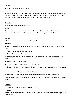# **Question:**

*What sized school bag should I purchase?*

## *Answer***:**

School bags need to be of a reasonable size especially during the summer months when it may hold the following: lunch, drink, sweatshirt, footwear, book bag etc. If everything is able to fit into your child's school bag, then they are less likely to misplace items!

## **Question:**

*How many children will be in the class?*

## *Answer***:**

This depends on numbers of children at each year level and what time of the year your child starts school. We endeavour to keep our Year 1 classes at approx. 24 children.

## **Question:**

*What else can I do to prepare my child for school?*

## *Answer***:**

 Explain to your child what food in their lunch box they should eat at morning tea and lunch time.

- Teach your child to tie their shoe laces.
- Name all you child's clothing.
- Ensure your child has learnt to tidy up and put items away when they have finished with them.
- Read to your child every day.
- Teach them to write their name if they can't already.
- Explain to your child how important it is to tell their teacher or the duty teacher if they a problem.
- Teach your child to be responsible for their own belongings.
- Encourage your child to be independent and do as much as possible themselves.

Have a meeting point in the playground after school so your child knows where to find you after school.

## **Question:**

*Can I visit the school before/after enrolling my child?*

#### *Answer***:**

You are most welcome to visit Edmonton Primary School. Just contact the office to organise a suitable time.